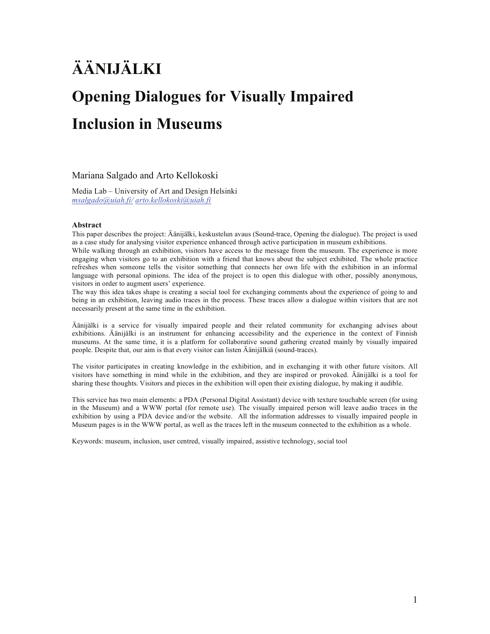# **ÄÄNIJÄLKI**

# **Opening Dialogues for Visually Impaired Inclusion in Museums**

#### Mariana Salgado and Arto Kellokoski

Media Lab – University of Art and Design Helsinki *msalgado@uiah.fi/ arto.kellokoski@uiah.fi*

#### **Abstract**

This paper describes the project: Äänijälki, keskustelun avaus (Sound-trace, Opening the dialogue). The project is used as a case study for analysing visitor experience enhanced through active participation in museum exhibitions.

While walking through an exhibition, visitors have access to the message from the museum. The experience is more engaging when visitors go to an exhibition with a friend that knows about the subject exhibited. The whole practice refreshes when someone tells the visitor something that connects her own life with the exhibition in an informal language with personal opinions. The idea of the project is to open this dialogue with other, possibly anonymous, visitors in order to augment users' experience.

The way this idea takes shape is creating a social tool for exchanging comments about the experience of going to and being in an exhibition, leaving audio traces in the process. These traces allow a dialogue within visitors that are not necessarily present at the same time in the exhibition.

Äänijälki is a service for visually impaired people and their related community for exchanging advises about exhibitions. Äänijälki is an instrument for enhancing accessibility and the experience in the context of Finnish museums. At the same time, it is a platform for collaborative sound gathering created mainly by visually impaired people. Despite that, our aim is that every visitor can listen Äänijälkiä (sound-traces).

The visitor participates in creating knowledge in the exhibition, and in exchanging it with other future visitors. All visitors have something in mind while in the exhibition, and they are inspired or provoked. Äänijälki is a tool for sharing these thoughts. Visitors and pieces in the exhibition will open their existing dialogue, by making it audible.

This service has two main elements: a PDA (Personal Digital Assistant) device with texture touchable screen (for using in the Museum) and a WWW portal (for remote use). The visually impaired person will leave audio traces in the exhibition by using a PDA device and/or the website. All the information addresses to visually impaired people in Museum pages is in the WWW portal, as well as the traces left in the museum connected to the exhibition as a whole.

Keywords: museum, inclusion, user centred, visually impaired, assistive technology, social tool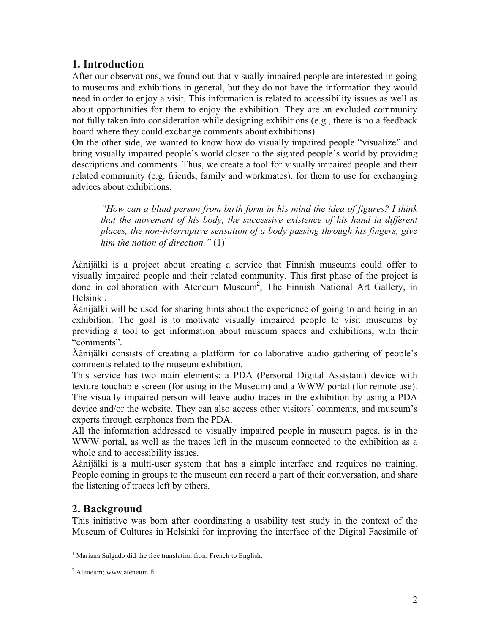# **1. Introduction**

After our observations, we found out that visually impaired people are interested in going to museums and exhibitions in general, but they do not have the information they would need in order to enjoy a visit. This information is related to accessibility issues as well as about opportunities for them to enjoy the exhibition. They are an excluded community not fully taken into consideration while designing exhibitions (e.g., there is no a feedback board where they could exchange comments about exhibitions).

On the other side, we wanted to know how do visually impaired people "visualize" and bring visually impaired people's world closer to the sighted people's world by providing descriptions and comments. Thus, we create a tool for visually impaired people and their related community (e.g. friends, family and workmates), for them to use for exchanging advices about exhibitions.

*"How can a blind person from birth form in his mind the idea of figures? I think that the movement of his body, the successive existence of his hand in different places, the non-interruptive sensation of a body passing through his fingers, give him the notion of direction.*"  $(1)^1$ 

Äänijälki is a project about creating a service that Finnish museums could offer to visually impaired people and their related community. This first phase of the project is done in collaboration with Ateneum Museum<sup>2</sup>, The Finnish National Art Gallery, in Helsinki**.** 

Äänijälki will be used for sharing hints about the experience of going to and being in an exhibition. The goal is to motivate visually impaired people to visit museums by providing a tool to get information about museum spaces and exhibitions, with their "comments".

Äänijälki consists of creating a platform for collaborative audio gathering of people's comments related to the museum exhibition.

This service has two main elements: a PDA (Personal Digital Assistant) device with texture touchable screen (for using in the Museum) and a WWW portal (for remote use). The visually impaired person will leave audio traces in the exhibition by using a PDA device and/or the website. They can also access other visitors' comments, and museum's experts through earphones from the PDA.

All the information addressed to visually impaired people in museum pages, is in the WWW portal, as well as the traces left in the museum connected to the exhibition as a whole and to accessibility issues.

Äänijälki is a multi-user system that has a simple interface and requires no training. People coming in groups to the museum can record a part of their conversation, and share the listening of traces left by others.

# **2. Background**

This initiative was born after coordinating a usability test study in the context of the Museum of Cultures in Helsinki for improving the interface of the Digital Facsimile of

 1 Mariana Salgado did the free translation from French to English.

<sup>&</sup>lt;sup>2</sup> Ateneum; www.ateneum.fi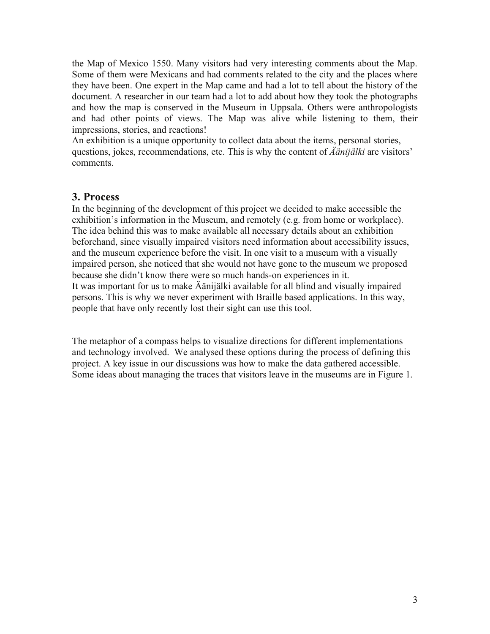the Map of Mexico 1550. Many visitors had very interesting comments about the Map. Some of them were Mexicans and had comments related to the city and the places where they have been. One expert in the Map came and had a lot to tell about the history of the document. A researcher in our team had a lot to add about how they took the photographs and how the map is conserved in the Museum in Uppsala. Others were anthropologists and had other points of views. The Map was alive while listening to them, their impressions, stories, and reactions!

An exhibition is a unique opportunity to collect data about the items, personal stories, questions, jokes, recommendations, etc. This is why the content of *Äänijälki* are visitors' comments.

## **3. Process**

In the beginning of the development of this project we decided to make accessible the exhibition's information in the Museum, and remotely (e.g. from home or workplace). The idea behind this was to make available all necessary details about an exhibition beforehand, since visually impaired visitors need information about accessibility issues, and the museum experience before the visit. In one visit to a museum with a visually impaired person, she noticed that she would not have gone to the museum we proposed because she didn't know there were so much hands-on experiences in it. It was important for us to make Äänijälki available for all blind and visually impaired persons. This is why we never experiment with Braille based applications. In this way, people that have only recently lost their sight can use this tool.

The metaphor of a compass helps to visualize directions for different implementations and technology involved. We analysed these options during the process of defining this project. A key issue in our discussions was how to make the data gathered accessible. Some ideas about managing the traces that visitors leave in the museums are in Figure 1.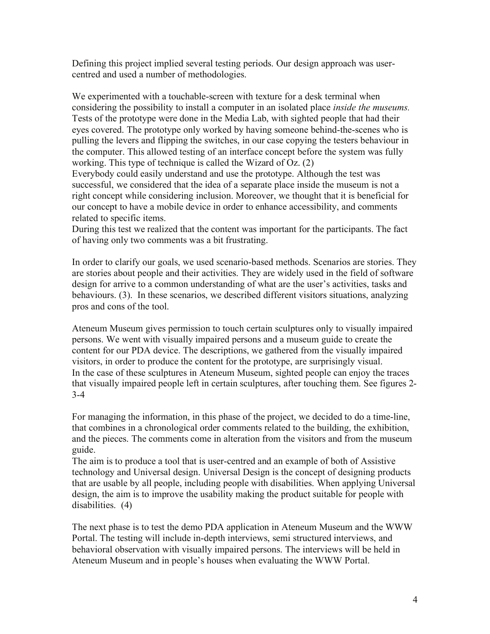Defining this project implied several testing periods. Our design approach was usercentred and used a number of methodologies.

We experimented with a touchable-screen with texture for a desk terminal when considering the possibility to install a computer in an isolated place *inside the museums.*  Tests of the prototype were done in the Media Lab, with sighted people that had their eyes covered. The prototype only worked by having someone behind-the-scenes who is pulling the levers and flipping the switches, in our case copying the testers behaviour in the computer. This allowed testing of an interface concept before the system was fully working. This type of technique is called the Wizard of Oz. (2)

Everybody could easily understand and use the prototype. Although the test was successful, we considered that the idea of a separate place inside the museum is not a right concept while considering inclusion. Moreover, we thought that it is beneficial for our concept to have a mobile device in order to enhance accessibility, and comments related to specific items.

During this test we realized that the content was important for the participants. The fact of having only two comments was a bit frustrating.

In order to clarify our goals, we used scenario-based methods. Scenarios are stories. They are stories about people and their activities. They are widely used in the field of software design for arrive to a common understanding of what are the user's activities, tasks and behaviours. (3). In these scenarios, we described different visitors situations, analyzing pros and cons of the tool.

Ateneum Museum gives permission to touch certain sculptures only to visually impaired persons. We went with visually impaired persons and a museum guide to create the content for our PDA device. The descriptions, we gathered from the visually impaired visitors, in order to produce the content for the prototype, are surprisingly visual. In the case of these sculptures in Ateneum Museum, sighted people can enjoy the traces that visually impaired people left in certain sculptures, after touching them. See figures 2- 3-4

For managing the information, in this phase of the project, we decided to do a time-line, that combines in a chronological order comments related to the building, the exhibition, and the pieces. The comments come in alteration from the visitors and from the museum guide.

The aim is to produce a tool that is user-centred and an example of both of Assistive technology and Universal design. Universal Design is the concept of designing products that are usable by all people, including people with disabilities. When applying Universal design, the aim is to improve the usability making the product suitable for people with disabilities. (4)

The next phase is to test the demo PDA application in Ateneum Museum and the WWW Portal. The testing will include in-depth interviews, semi structured interviews, and behavioral observation with visually impaired persons. The interviews will be held in Ateneum Museum and in people's houses when evaluating the WWW Portal.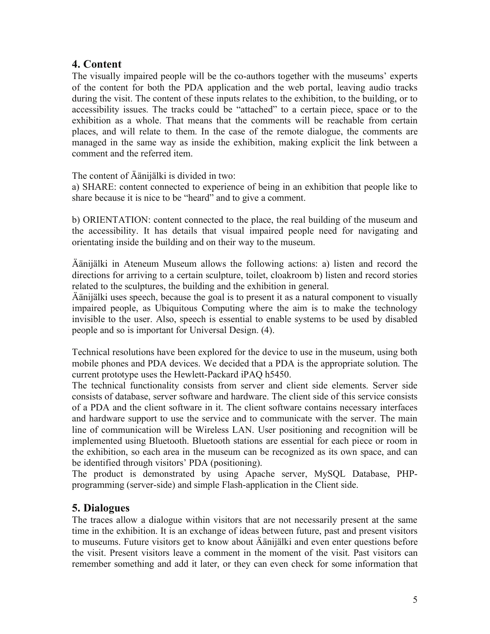# **4. Content**

The visually impaired people will be the co-authors together with the museums' experts of the content for both the PDA application and the web portal, leaving audio tracks during the visit. The content of these inputs relates to the exhibition, to the building, or to accessibility issues. The tracks could be "attached" to a certain piece, space or to the exhibition as a whole. That means that the comments will be reachable from certain places, and will relate to them. In the case of the remote dialogue, the comments are managed in the same way as inside the exhibition, making explicit the link between a comment and the referred item.

The content of Äänijälki is divided in two:

a) SHARE: content connected to experience of being in an exhibition that people like to share because it is nice to be "heard" and to give a comment.

b) ORIENTATION: content connected to the place, the real building of the museum and the accessibility. It has details that visual impaired people need for navigating and orientating inside the building and on their way to the museum.

Äänijälki in Ateneum Museum allows the following actions: a) listen and record the directions for arriving to a certain sculpture, toilet, cloakroom b) listen and record stories related to the sculptures, the building and the exhibition in general.

Äänijälki uses speech, because the goal is to present it as a natural component to visually impaired people, as Ubiquitous Computing where the aim is to make the technology invisible to the user. Also, speech is essential to enable systems to be used by disabled people and so is important for Universal Design. (4).

Technical resolutions have been explored for the device to use in the museum, using both mobile phones and PDA devices. We decided that a PDA is the appropriate solution. The current prototype uses the Hewlett-Packard iPAQ h5450.

The technical functionality consists from server and client side elements. Server side consists of database, server software and hardware. The client side of this service consists of a PDA and the client software in it. The client software contains necessary interfaces and hardware support to use the service and to communicate with the server. The main line of communication will be Wireless LAN. User positioning and recognition will be implemented using Bluetooth. Bluetooth stations are essential for each piece or room in the exhibition, so each area in the museum can be recognized as its own space, and can be identified through visitors' PDA (positioning).

The product is demonstrated by using Apache server, MySQL Database, PHPprogramming (server-side) and simple Flash-application in the Client side.

# **5. Dialogues**

The traces allow a dialogue within visitors that are not necessarily present at the same time in the exhibition. It is an exchange of ideas between future, past and present visitors to museums. Future visitors get to know about Äänijälki and even enter questions before the visit. Present visitors leave a comment in the moment of the visit. Past visitors can remember something and add it later, or they can even check for some information that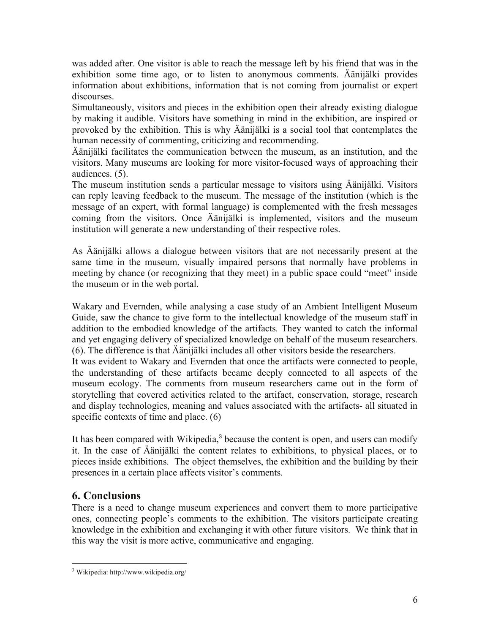was added after. One visitor is able to reach the message left by his friend that was in the exhibition some time ago, or to listen to anonymous comments. Äänijälki provides information about exhibitions, information that is not coming from journalist or expert discourses.

Simultaneously, visitors and pieces in the exhibition open their already existing dialogue by making it audible. Visitors have something in mind in the exhibition, are inspired or provoked by the exhibition. This is why Äänijälki is a social tool that contemplates the human necessity of commenting, criticizing and recommending.

Äänijälki facilitates the communication between the museum, as an institution, and the visitors. Many museums are looking for more visitor-focused ways of approaching their audiences. (5).

The museum institution sends a particular message to visitors using Äänijälki. Visitors can reply leaving feedback to the museum. The message of the institution (which is the message of an expert, with formal language) is complemented with the fresh messages coming from the visitors. Once Äänijälki is implemented, visitors and the museum institution will generate a new understanding of their respective roles.

As Äänijälki allows a dialogue between visitors that are not necessarily present at the same time in the museum, visually impaired persons that normally have problems in meeting by chance (or recognizing that they meet) in a public space could "meet" inside the museum or in the web portal.

Wakary and Evernden, while analysing a case study of an Ambient Intelligent Museum Guide, saw the chance to give form to the intellectual knowledge of the museum staff in addition to the embodied knowledge of the artifacts*.* They wanted to catch the informal and yet engaging delivery of specialized knowledge on behalf of the museum researchers. (6). The difference is that Äänijälki includes all other visitors beside the researchers.

It was evident to Wakary and Evernden that once the artifacts were connected to people, the understanding of these artifacts became deeply connected to all aspects of the museum ecology. The comments from museum researchers came out in the form of storytelling that covered activities related to the artifact, conservation, storage, research and display technologies, meaning and values associated with the artifacts- all situated in specific contexts of time and place. (6)

It has been compared with Wikipedia,<sup>3</sup> because the content is open, and users can modify it. In the case of Äänijälki the content relates to exhibitions, to physical places, or to pieces inside exhibitions. The object themselves, the exhibition and the building by their presences in a certain place affects visitor's comments.

# **6. Conclusions**

 $\overline{a}$ 

There is a need to change museum experiences and convert them to more participative ones, connecting people's comments to the exhibition. The visitors participate creating knowledge in the exhibition and exchanging it with other future visitors. We think that in this way the visit is more active, communicative and engaging.

<sup>3</sup> Wikipedia: http://www.wikipedia.org/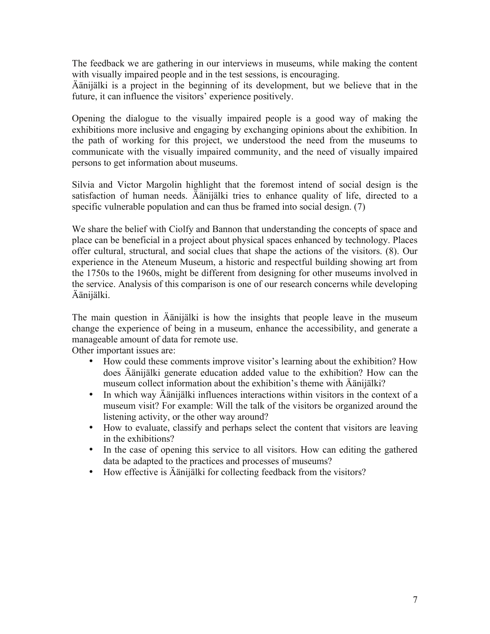The feedback we are gathering in our interviews in museums, while making the content with visually impaired people and in the test sessions, is encouraging.

Äänijälki is a project in the beginning of its development, but we believe that in the future, it can influence the visitors' experience positively.

Opening the dialogue to the visually impaired people is a good way of making the exhibitions more inclusive and engaging by exchanging opinions about the exhibition. In the path of working for this project, we understood the need from the museums to communicate with the visually impaired community, and the need of visually impaired persons to get information about museums.

Silvia and Victor Margolin highlight that the foremost intend of social design is the satisfaction of human needs. Äänijälki tries to enhance quality of life, directed to a specific vulnerable population and can thus be framed into social design. (7)

We share the belief with Ciolfy and Bannon that understanding the concepts of space and place can be beneficial in a project about physical spaces enhanced by technology. Places offer cultural, structural, and social clues that shape the actions of the visitors. (8). Our experience in the Ateneum Museum, a historic and respectful building showing art from the 1750s to the 1960s, might be different from designing for other museums involved in the service. Analysis of this comparison is one of our research concerns while developing Äänijälki.

The main question in Äänijälki is how the insights that people leave in the museum change the experience of being in a museum, enhance the accessibility, and generate a manageable amount of data for remote use.

Other important issues are:

- How could these comments improve visitor's learning about the exhibition? How does Äänijälki generate education added value to the exhibition? How can the museum collect information about the exhibition's theme with Äänijälki?
- In which way Äänijälki influences interactions within visitors in the context of a museum visit? For example: Will the talk of the visitors be organized around the listening activity, or the other way around?
- How to evaluate, classify and perhaps select the content that visitors are leaving in the exhibitions?
- In the case of opening this service to all visitors. How can editing the gathered data be adapted to the practices and processes of museums?
- How effective is Äänijälki for collecting feedback from the visitors?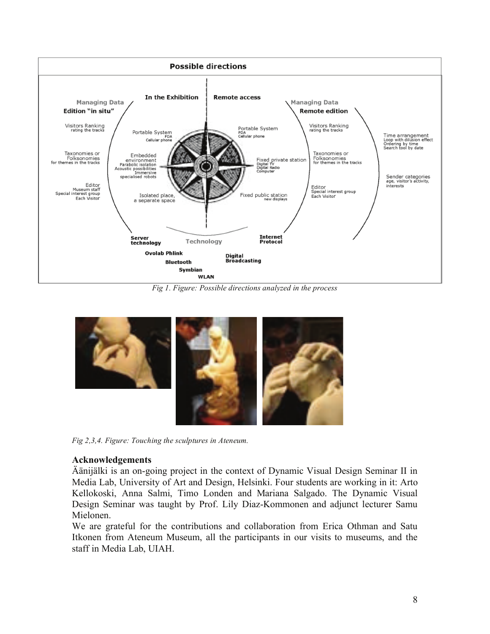

*Fig 1. Figure: Possible directions analyzed in the process* 



*Fig 2,3,4. Figure: Touching the sculptures in Ateneum.* 

### **Acknowledgements**

Äänijälki is an on-going project in the context of Dynamic Visual Design Seminar II in Media Lab, University of Art and Design, Helsinki. Four students are working in it: Arto Kellokoski, Anna Salmi, Timo Londen and Mariana Salgado. The Dynamic Visual Design Seminar was taught by Prof. Lily Diaz-Kommonen and adjunct lecturer Samu Mielonen.

We are grateful for the contributions and collaboration from Erica Othman and Satu Itkonen from Ateneum Museum, all the participants in our visits to museums, and the staff in Media Lab, UIAH.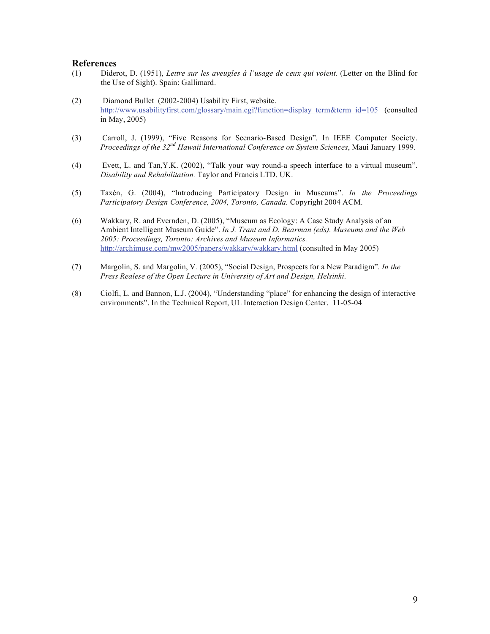### **References**

- (1) Diderot, D. (1951), *Lettre sur les aveugles á l'usage de ceux qui voient.* (Letter on the Blind for the Use of Sight). Spain: Gallimard.
- (2) Diamond Bullet (2002-2004) Usability First, website. http://www.usabilityfirst.com/glossary/main.cgi?function=display\_term&term\_id=105 (consulted in May, 2005)
- (3) Carroll, J. (1999), "Five Reasons for Scenario-Based Design"*.* In IEEE Computer Society. *Proceedings of the 32nd Hawaii International Conference on System Sciences*, Maui January 1999.
- (4) Evett, L. and Tan,Y.K. (2002), "Talk your way round-a speech interface to a virtual museum". *Disability and Rehabilitation.* Taylor and Francis LTD. UK.
- (5) Taxén, G. (2004), "Introducing Participatory Design in Museums". *In the Proceedings Participatory Design Conference, 2004, Toronto, Canada.* Copyright 2004 ACM.
- (6) Wakkary, R. and Evernden, D. (2005), "Museum as Ecology: A Case Study Analysis of an Ambient Intelligent Museum Guide". *In J. Trant and D. Bearman (eds). Museums and the Web 2005: Proceedings, Toronto: Archives and Museum Informatics.*  http://archimuse.com/mw2005/papers/wakkary/wakkary.html (consulted in May 2005)
- (7) Margolin, S. and Margolin, V*.* (2005), "Social Design, Prospects for a New Paradigm"*. In the Press Realese of the Open Lecture in University of Art and Design, Helsinki*.
- (8) Ciolfi, L. and Bannon, L.J. (2004), "Understanding "place" for enhancing the design of interactive environments". In the Technical Report, UL Interaction Design Center. 11-05-04